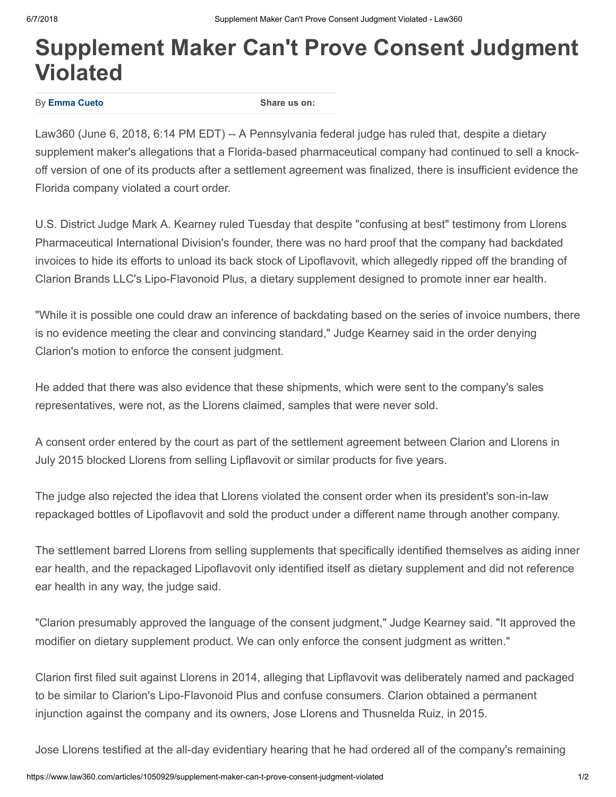## Supplement Maker Can't Prove Consent Judgment Violated

By [Emma Cueto](https://www.law360.com/articles/1050929/supplement-maker-can-t-prove-consent-judgment-violated#)

Share us on:

Law360 (June 6, 2018, 6:14 PM EDT) -- A Pennsylvania federal judge has ruled that, despite a dietary supplement maker's allegations that a Florida-based pharmaceutical company had continued to sell a knockoff version of one of its products after a settlement agreement was finalized, there is insufficient evidence the Florida company violated a court order.

U.S. District Judge Mark A. Kearney ruled Tuesday that despite "confusing at best" testimony from Llorens Pharmaceutical International Division's founder, there was no hard proof that the company had backdated invoices to hide its efforts to unload its back stock of Lipoflavovit, which allegedly ripped off the branding of Clarion Brands LLC's Lipo-Flavonoid Plus, a dietary supplement designed to promote inner ear health.

"While it is possible one could draw an inference of backdating based on the series of invoice numbers, there is no evidence meeting the clear and convincing standard," Judge Kearney said in the order denying Clarion's motion to enforce the consent judgment.

He added that there was also evidence that these shipments, which were sent to the company's sales representatives, were not, as the Llorens claimed, samples that were never sold.

A consent order entered by the court as part of the settlement agreement between Clarion and Llorens in July 2015 blocked Llorens from selling Lipflavovit or similar products for five years.

The judge also rejected the idea that Llorens violated the consent order when its president's son-in-law repackaged bottles of Lipoflavovit and sold the product under a different name through another company.

The settlement barred Llorens from selling supplements that specifically identified themselves as aiding inner ear health, and the repackaged Lipoflavovit only identified itself as dietary supplement and did not reference ear health in any way, the judge said.

"Clarion presumably approved the language of the consent judgment," Judge Kearney said. "It approved the modifier on dietary supplement product. We can only enforce the consent judgment as written."

Clarion first filed suit against Llorens in 2014, alleging that Lipflavovit was deliberately named and packaged to be similar to Clarion's Lipo-Flavonoid Plus and confuse consumers. Clarion obtained a permanent injunction against the company and its owners, Jose Llorens and Thusnelda Ruiz, in 2015.

Jose Llorens testified at the all-day evidentiary hearing that he had ordered all of the company's remaining